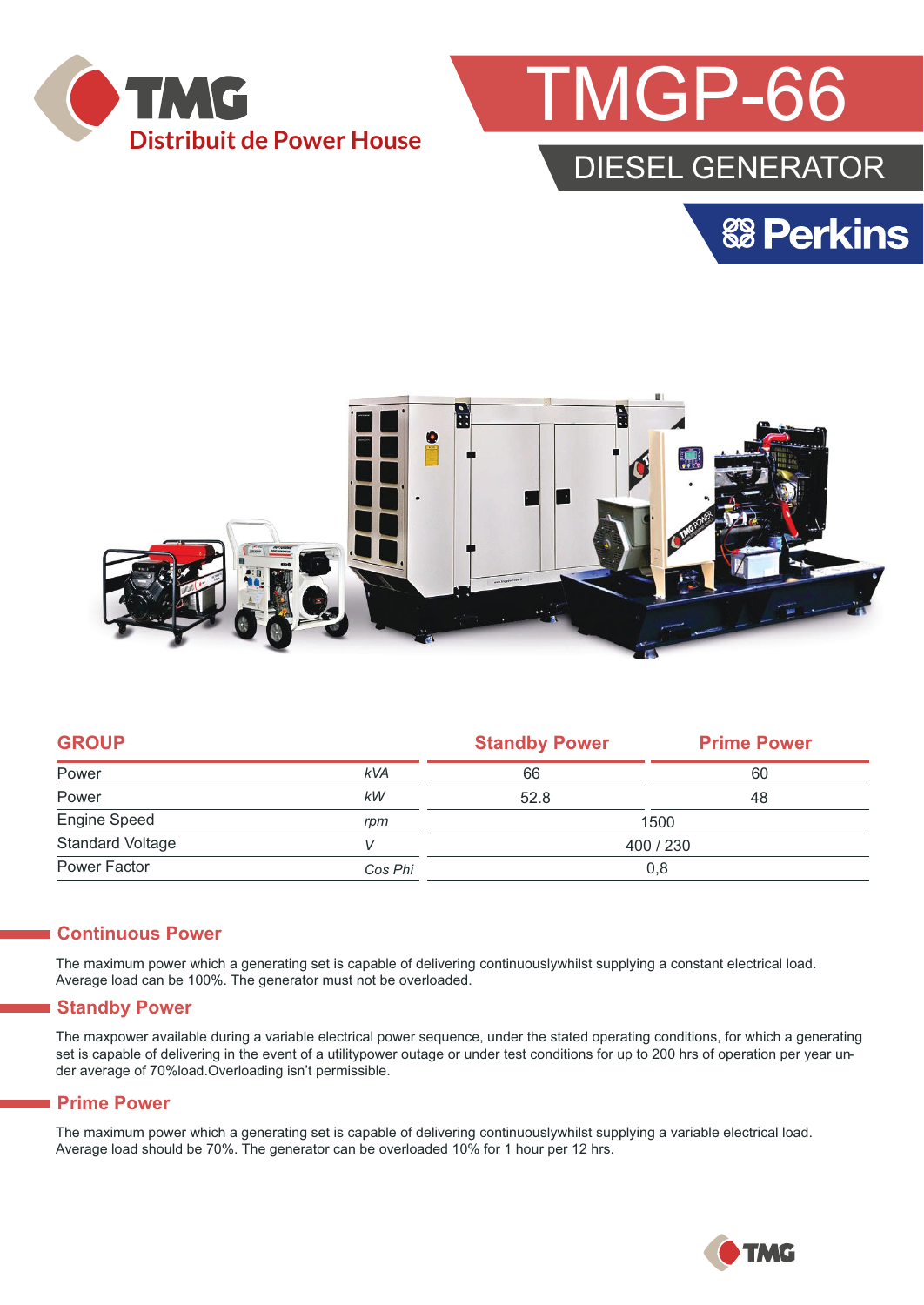



## DIESEL GENERATOR





|            | <b>Standby Power</b> | <b>Prime Power</b> |  |
|------------|----------------------|--------------------|--|
| <b>kVA</b> | 66                   | 60                 |  |
| kW         | 52.8                 | 48                 |  |
| rpm        | 1500                 |                    |  |
|            | 400 / 230            |                    |  |
| Cos Phi    | 0,8                  |                    |  |
|            |                      |                    |  |

#### **Continuous Power**

The maximum power which a generating set is capable of delivering continuouslywhilst supplying a constant electrical load. Average load can be 100%. The generator must not be overloaded.

#### **Standby Power**

The maxpower available during a variable electrical power sequence, under the stated operating conditions, for which a generating set is capable of delivering in the event of a utilitypower outage or under test conditions for up to 200 hrs of operation per year under average of 70%load.Overloading isn't permissible.

#### **Prime Power**

The maximum power which a generating set is capable of delivering continuouslywhilst supplying a variable electrical load. Average load should be 70%. The generator can be overloaded 10% for 1 hour per 12 hrs.

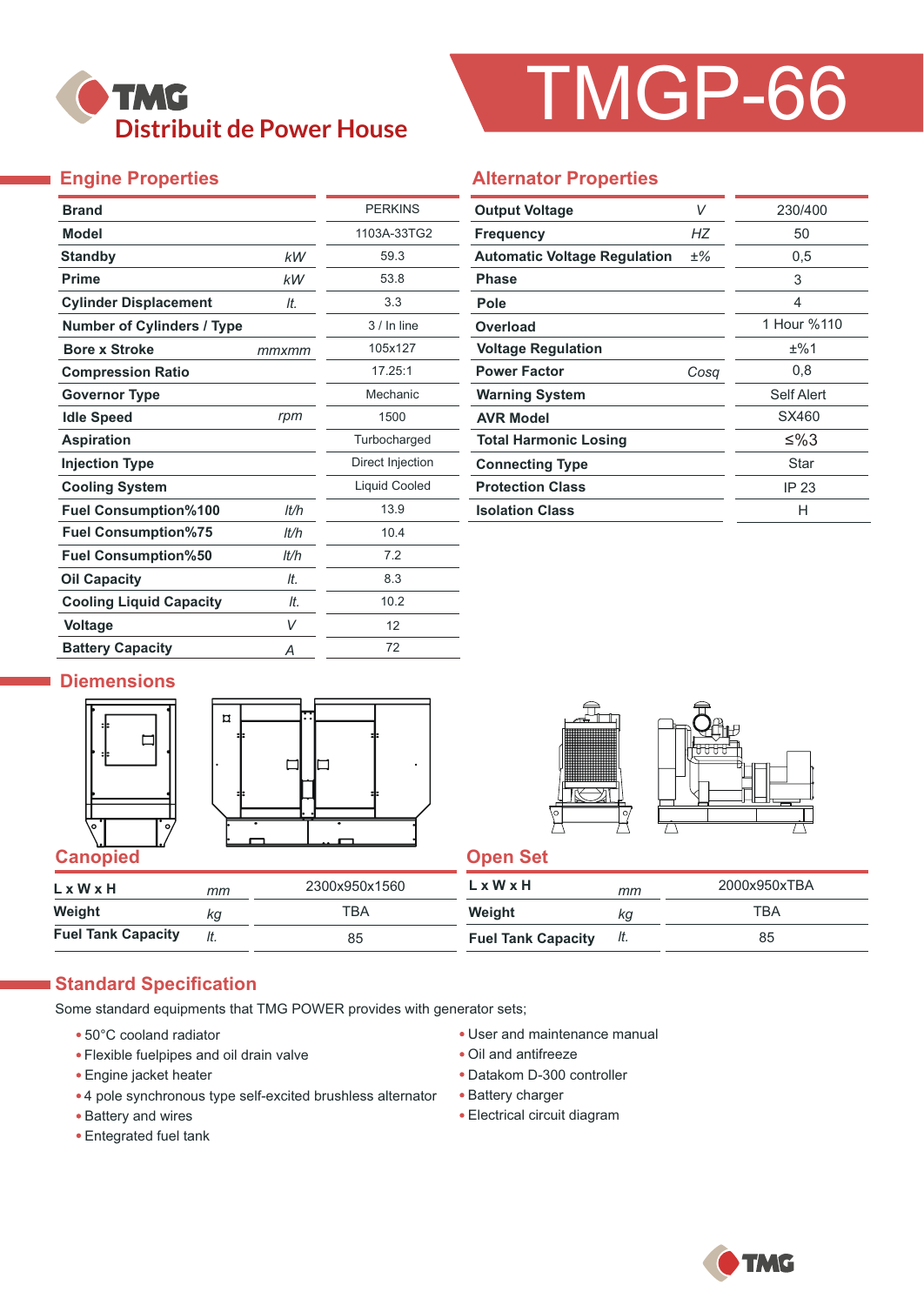## **TMG Distribuit de Power House**

# TMGP-66

#### **Engine Properties**

| <b>Brand</b>                      |       | <b>PERKINS</b>       |
|-----------------------------------|-------|----------------------|
| <b>Model</b>                      |       | 1103A-33TG2          |
| <b>Standby</b>                    | kW    | 59.3                 |
| <b>Prime</b>                      | kW    | 53.8                 |
| <b>Cylinder Displacement</b>      | It.   | 3.3                  |
| <b>Number of Cylinders / Type</b> |       | $3/ln$ line          |
| <b>Bore x Stroke</b>              | mmxmm | 105x127              |
| <b>Compression Ratio</b>          |       | 17.25:1              |
| <b>Governor Type</b>              |       | Mechanic             |
| <b>Idle Speed</b>                 | rpm   | 1500                 |
| <b>Aspiration</b>                 |       | Turbocharged         |
| <b>Injection Type</b>             |       | Direct Injection     |
| <b>Cooling System</b>             |       | <b>Liquid Cooled</b> |
| <b>Fuel Consumption%100</b>       | lt/h  | 13.9                 |
| <b>Fuel Consumption%75</b>        | lt/h  | 10.4                 |
| <b>Fuel Consumption%50</b>        | It/h  | 7.2                  |
| <b>Oil Capacity</b>               | lt.   | 8.3                  |
| <b>Cooling Liquid Capacity</b>    | It.   | 10.2                 |
| <b>Voltage</b>                    | V     | 12                   |
| <b>Battery Capacity</b>           | Α     | 72                   |

#### **Alternator Properties**

| <b>Output Voltage</b>               | V    | 230/400     |
|-------------------------------------|------|-------------|
| <b>Frequency</b>                    | НZ   | 50          |
| <b>Automatic Voltage Regulation</b> | ±%   | 0,5         |
| <b>Phase</b>                        |      | 3           |
| Pole                                |      | 4           |
| Overload                            |      | 1 Hour %110 |
| <b>Voltage Regulation</b>           |      | ±%1         |
| <b>Power Factor</b>                 | Cosa | 0,8         |
| <b>Warning System</b>               |      | Self Alert  |
| <b>AVR Model</b>                    |      | SX460       |
| <b>Total Harmonic Losing</b>        |      | ≤%3         |
| <b>Connecting Type</b>              |      | Star        |
| <b>Protection Class</b>             |      | IP 23       |
| <b>Isolation Class</b>              |      | н           |

#### **Diemensions**







| $L \times W \times H$     | mm | 2300x950x1560 | LxWxH                     | mm  | 2000x950xTBA |
|---------------------------|----|---------------|---------------------------|-----|--------------|
| Weight                    | kq | тва           | Weight                    | ΚG  | TBA          |
| <b>Fuel Tank Capacity</b> |    | 85            | <b>Fuel Tank Capacity</b> | It. | 85           |

#### **Standard Specification**

Some standard equipments that TMG POWER provides with generator sets;

- 50°C cooland radiator
- Flexible fuelpipes and oil drain valve
- Engine jacket heater
- 4 pole synchronous type self-excited brushless alternator
- Battery and wires
- Entegrated fuel tank
- User and maintenance manual
- Oil and antifreeze
- Datakom D-300 controller
- Battery charger
- Electrical circuit diagram